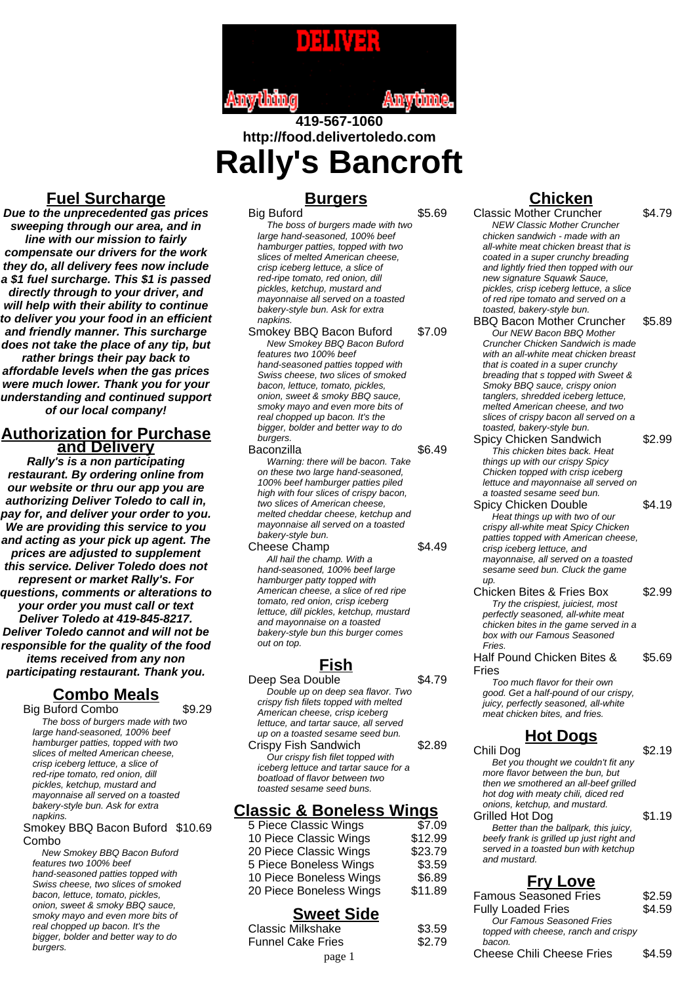

# **419-567-1060 http://food.delivertoledo.com Rally's Bancroft**

## **Fuel Surcharge**

**Due to the unprecedented gas prices sweeping through our area, and in line with our mission to fairly compensate our drivers for the work they do, all delivery fees now include a \$1 fuel surcharge. This \$1 is passed directly through to your driver, and will help with their ability to continue to deliver you your food in an efficient and friendly manner. This surcharge does not take the place of any tip, but rather brings their pay back to affordable levels when the gas prices were much lower. Thank you for your understanding and continued support of our local company!**

#### **Authorization for Purchase and Delivery**

**Rally's is a non participating restaurant. By ordering online from our website or thru our app you are authorizing Deliver Toledo to call in, pay for, and deliver your order to you. We are providing this service to you and acting as your pick up agent. The prices are adjusted to supplement this service. Deliver Toledo does not represent or market Rally's. For questions, comments or alterations to your order you must call or text Deliver Toledo at 419-845-8217. Deliver Toledo cannot and will not be responsible for the quality of the food items received from any non participating restaurant. Thank you.**

#### **Combo Meals**

Big Buford Combo \$9.29

The boss of burgers made with two large hand-seasoned, 100% beef hamburger patties, topped with two slices of melted American cheese, crisp iceberg lettuce, a slice of red-ripe tomato, red onion, dill pickles, ketchup, mustard and mayonnaise all served on a toasted bakery-style bun. Ask for extra napkins.

#### Smokey BBQ Bacon Buford \$10.69 Combo

New Smokey BBQ Bacon Buford features two 100% beef hand-seasoned patties topped with Swiss cheese, two slices of smoked bacon, lettuce, tomato, pickles, onion, sweet & smoky BBQ sauce, smoky mayo and even more bits of real chopped up bacon. It's the bigger, bolder and better way to do burgers.

#### **Burgers**

Big Buford \$5.69 The boss of burgers made with two large hand-seasoned, 100% beef hamburger patties, topped with two slices of melted American cheese, crisp iceberg lettuce, a slice of red-ripe tomato, red onion, dill pickles, ketchup, mustard and mayonnaise all served on a toasted bakery-style bun. Ask for extra napkins.

Smokey BBQ Bacon Buford \$7.09 New Smokey BBQ Bacon Buford features two 100% beef hand-seasoned patties topped with Swiss cheese, two slices of smoked bacon, lettuce, tomato, pickles, onion, sweet & smoky BBQ sauce, smoky mayo and even more bits of real chopped up bacon. It's the bigger, bolder and better way to do burgers.

Baconzilla \$6.49 Warning: there will be bacon. Take on these two large hand-seasoned. 100% beef hamburger patties piled high with four slices of crispy bacon, two slices of American cheese, melted cheddar cheese, ketchup and mayonnaise all served on a toasted bakery-style bun. Cheese Champ  $$4.49$ 

All hail the champ. With a hand-seasoned, 100% beef large hamburger patty topped with American cheese, a slice of red ripe tomato, red onion, crisp iceberg lettuce, dill pickles, ketchup, mustard and mayonnaise on a toasted bakery-style bun this burger comes out on top.

# **Fish**

Deep Sea Double \$4.79 Double up on deep sea flavor. Two crispy fish filets topped with melted American cheese, crisp iceberg lettuce, and tartar sauce, all served up on a toasted sesame seed bun. Crispy Fish Sandwich \$2.89 Our crispy fish filet topped with iceberg lettuce and tartar sauce for a boatload of flavor between two toasted sesame seed buns.

### **Classic & Boneless Wings**

| 5 Piece Classic Wings   | \$7.09  |
|-------------------------|---------|
| 10 Piece Classic Wings  | \$12.99 |
| 20 Piece Classic Wings  | \$23.79 |
| 5 Piece Boneless Wings  | \$3.59  |
| 10 Piece Boneless Wings | \$6.89  |
| 20 Piece Boneless Wings | \$11.89 |
|                         |         |

# **Sweet Side**

| Classic Milkshake        | \$3.59 |
|--------------------------|--------|
| <b>Funnel Cake Fries</b> | \$2.79 |
| page 1                   |        |

# **Chicken**

Classic Mother Cruncher \$4.79 NEW Classic Mother Cruncher chicken sandwich - made with an all-white meat chicken breast that is coated in a super crunchy breading and lightly fried then topped with our new signature Squawk Sauce, pickles, crisp iceberg lettuce, a slice of red ripe tomato and served on a toasted, bakery-style bun.

- BBQ Bacon Mother Cruncher \$5.89 Our NEW Bacon BBQ Mother Cruncher Chicken Sandwich is made with an all-white meat chicken breast that is coated in a super crunchy breading that s topped with Sweet & Smoky BBQ sauce, crispy onion tanglers, shredded iceberg lettuce, melted American cheese, and two slices of crispy bacon all served on a toasted, bakery-style bun.
- Spicy Chicken Sandwich \$2.99 This chicken bites back. Heat things up with our crispy Spicy Chicken topped with crisp iceberg lettuce and mayonnaise all served on a toasted sesame seed bun.
- Spicy Chicken Double \$4.19 Heat things up with two of our crispy all-white meat Spicy Chicken patties topped with American cheese, crisp iceberg lettuce, and mayonnaise, all served on a toasted sesame seed bun. Cluck the game up.
- Chicken Bites & Fries Box \$2.99 Try the crispiest, juiciest, most perfectly seasoned, all-white meat chicken bites in the game served in a box with our Famous Seasoned **Fries**
- Half Pound Chicken Bites & Fries \$5.69

Too much flavor for their own good. Get a half-pound of our crispy, juicy, perfectly seasoned, all-white meat chicken bites, and fries.

### **Hot Dogs**

Chili Dog \$2.19 Bet you thought we couldn't fit any more flavor between the bun, but then we smothered an all-beef grilled hot dog with meaty chili, diced red onions, ketchup, and mustard. Grilled Hot Dog \$1.19 Better than the ballpark, this juicy, beefy frank is grilled up just right and served in a toasted bun with ketchup and mustard. **Fry Love** Famous Seasoned Fries \$2.59 Fully Loaded Fries \$4.59

Our Famous Seasoned Fries topped with cheese, ranch and crispy bacon. Cheese Chili Cheese Fries \$4.59